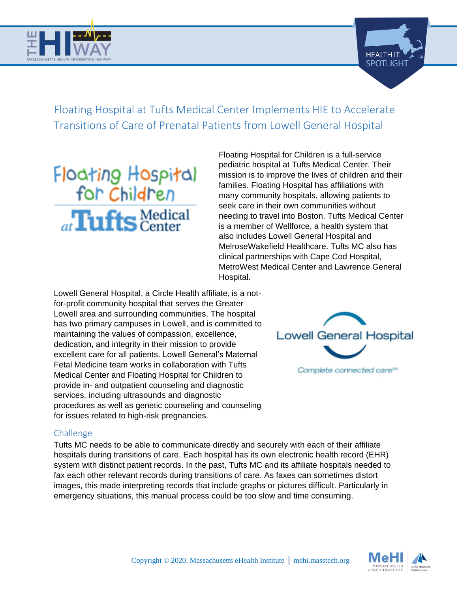



Floating Hospital at Tufts Medical Center Implements HIE to Accelerate Transitions of Care of Prenatal Patients from Lowell General Hospital

# Floating Hospital<br>for Children at Tufts Medical

Floating Hospital for Children is a full-service pediatric hospital at Tufts Medical Center. Their mission is to improve the lives of children and their families. Floating Hospital has affiliations with many community hospitals, allowing patients to seek care in their own communities without needing to travel into Boston. Tufts Medical Center is a member of Wellforce, a health system that also includes Lowell General Hospital and MelroseWakefield Healthcare. Tufts MC also has clinical partnerships with Cape Cod Hospital, MetroWest Medical Center and Lawrence General Hospital.

Lowell General Hospital, a Circle Health affiliate, is a notfor-profit community hospital that serves the Greater Lowell area and surrounding communities. The hospital has two primary campuses in Lowell, and is committed to maintaining the values of compassion, excellence, dedication, and integrity in their mission to provide excellent care for all patients. Lowell General's Maternal Fetal Medicine team works in collaboration with Tufts Medical Center and Floating Hospital for Children to provide in- and outpatient counseling and diagnostic services, including ultrasounds and diagnostic procedures as well as genetic counseling and counseling for issues related to high-risk pregnancies.



## Challenge

Tufts MC needs to be able to communicate directly and securely with each of their affiliate hospitals during transitions of care. Each hospital has its own electronic health record (EHR) system with distinct patient records. In the past, Tufts MC and its affiliate hospitals needed to fax each other relevant records during transitions of care. As faxes can sometimes distort images, this made interpreting records that include graphs or pictures difficult. Particularly in emergency situations, this manual process could be too slow and time consuming.